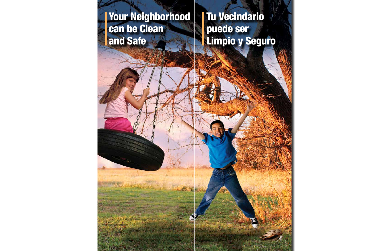# Your Neighborhood can be Clean and Safe

# Tu Vecindario puede ser Limpio y Seguro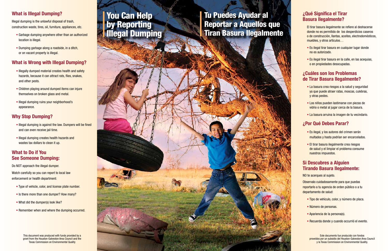### **What is Illegal Dumping?**

Illegal dumping is the unlawful disposal of trash, construction waste, tires, oil, furniture, appliances, etc.

- Garbage dumping anywhere other than an authorized location is illegal.
- Dumping garbage along a roadside, in a ditch, or on vacant property is illegal.

- Illegally dumped material creates health and safety hazards, because it can attract rats, flies, snakes, and other pests.
- Children playing around dumped items can injure themselves on broken glass and metal.
- Illegal dumping ruins your neighborhood's appearance.

### **What is Wrong with Illegal Dumping?**

- Illegal dumping is against the law. Dumpers will be fined and can even receive jail time.
- Illegal dumping creates health hazards and wastes tax dollars to clean it up.

Watch carefully so you can report to local law enforcement or health department:

- Type of vehicle, color, and license plate number.
- Is there more than one dumper? How many?
- What did the dumper(s) look like?
- Remember when and where the dumping occurred.

## **Why Stop Dumping?**

### **What to Do if You See Someone Dumping:**

Do NOT approach the illegal dumper.

#### **¿Qué Significa el Tirar Basura Ilegalmente?**

El tirar basura ilegalmente se refiere al deshacerse donde no es permitido de los desperdicios caseros o de construcción, llantas, aceites, electrodomésticos, muebles, y otros artículos…

- Es ilegal tirar basura en cualquier lugar donde no es autorizado.
- Es ilegal tirar basura en la calle, en las acequias, o en propiedades desocupadas.

#### **¿Cuáles son los Problemas de Tirar Basura Ilegalmente?**

- La basura crea riesgos a la salud y seguridad ya que puede atraer ratas, moscas, culebras, y otras pestes.
- Los niños pueden lastimarse con piezas de vidrio o metal al jugar cerca de la basura.
- La basura arruina la imagen de tu vecindario.

### **¿Por Qué Debes Parar?**

- Es ilegal, y los autores del crimen serán multados y hasta podrían ser encarcelados.
- El tirar basura ilegalmente crea riesgos de salud y el limpiar el problema consume nuestros impuestos.

#### **Si Descubres a Alguien Tirando Basura Ilegalmente:**

NO te acerques al sujeto.

Observalo cuidadosamente para que puedas reportarlo a tu agencia de orden público o a tu departamento de salud:

- Tipo de vehículo, color, y número de placa.
- Número de personas.
- Apariencia de la persona(s).
- Recuerda donde y cuando occurrió el evento.

# You Can Help by Reporting Illegal Dumping

Tu Puedes Ayudar al Reportar a Aquellos que Tiran Basura Ilegalmente

This document was produced with funds provided by a grant from the Houston-Galveston Area Council and the Texas Commission on Environmental Quality